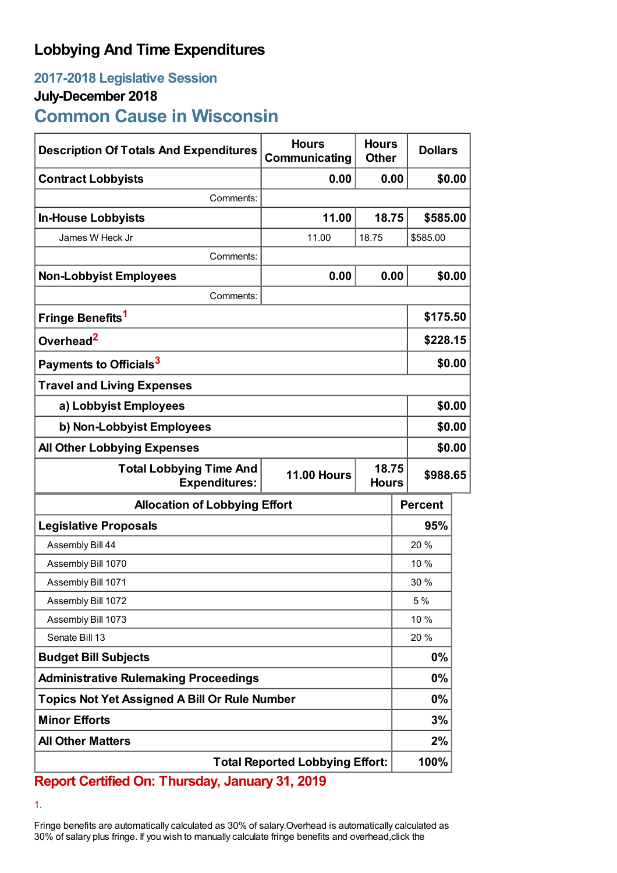## **Lobbying And Time Expenditures**

## **2017-2018 Legislative Session**

### **July-December 2018**

# **Common Cause in Wisconsin**

| <b>Description Of Totals And Expenditures</b>          | <b>Hours</b><br>Communicating               | <b>Hours</b><br><b>Other</b> | <b>Dollars</b> |          |  |
|--------------------------------------------------------|---------------------------------------------|------------------------------|----------------|----------|--|
| <b>Contract Lobbyists</b>                              | 0.00                                        | 0.00                         |                | \$0.00   |  |
| Comments:                                              |                                             |                              |                |          |  |
| <b>In-House Lobbyists</b>                              | 11.00                                       | 18.75                        | \$585.00       |          |  |
| James W Heck Jr                                        | 11.00                                       | 18.75                        | \$585.00       |          |  |
| Comments:                                              |                                             |                              |                |          |  |
| <b>Non-Lobbyist Employees</b>                          | 0.00                                        | 0.00                         |                | \$0.00   |  |
| Comments:                                              |                                             |                              |                |          |  |
| Fringe Benefits <sup>1</sup>                           |                                             |                              | \$175.50       |          |  |
| Overhead <sup>2</sup>                                  |                                             |                              | \$228.15       |          |  |
| Payments to Officials <sup>3</sup>                     |                                             |                              | \$0.00         |          |  |
| <b>Travel and Living Expenses</b>                      |                                             |                              |                |          |  |
| a) Lobbyist Employees                                  |                                             |                              |                | \$0.00   |  |
| b) Non-Lobbyist Employees                              |                                             |                              | \$0.00         |          |  |
| <b>All Other Lobbying Expenses</b>                     |                                             |                              |                | \$0.00   |  |
| <b>Total Lobbying Time And</b><br><b>Expenditures:</b> | 18.75<br><b>11.00 Hours</b><br><b>Hours</b> |                              |                | \$988.65 |  |
| <b>Allocation of Lobbying Effort</b>                   |                                             |                              | <b>Percent</b> |          |  |
| <b>Legislative Proposals</b>                           |                                             |                              | 95%            |          |  |
| Assembly Bill 44                                       |                                             |                              | 20%            |          |  |
| Assembly Bill 1070                                     |                                             |                              | 10 %           |          |  |
| Assembly Bill 1071                                     |                                             |                              | 30%            |          |  |
| Assembly Bill 1072                                     |                                             |                              | 5 %            |          |  |
| Assembly Bill 1073                                     |                                             |                              | 10 %           |          |  |
| Senate Bill 13                                         |                                             |                              | 20%            |          |  |
| <b>Budget Bill Subjects</b>                            |                                             |                              | 0%             |          |  |
| <b>Administrative Rulemaking Proceedings</b>           |                                             |                              | 0%             |          |  |
| <b>Topics Not Yet Assigned A Bill Or Rule Number</b>   |                                             |                              | 0%             |          |  |
| <b>Minor Efforts</b>                                   |                                             |                              | 3%             |          |  |
| <b>All Other Matters</b>                               |                                             |                              | 2%             |          |  |
| <b>Total Reported Lobbying Effort:</b>                 |                                             |                              | 100%           |          |  |

**Report Certified On: Thursday, January 31, 2019**

1.

Fringe benefits are automatically calculated as 30% of salary.Overhead is automatically calculated as 30% of salary plus fringe. If you wish to manually calculate fringe benefits and overhead,click the